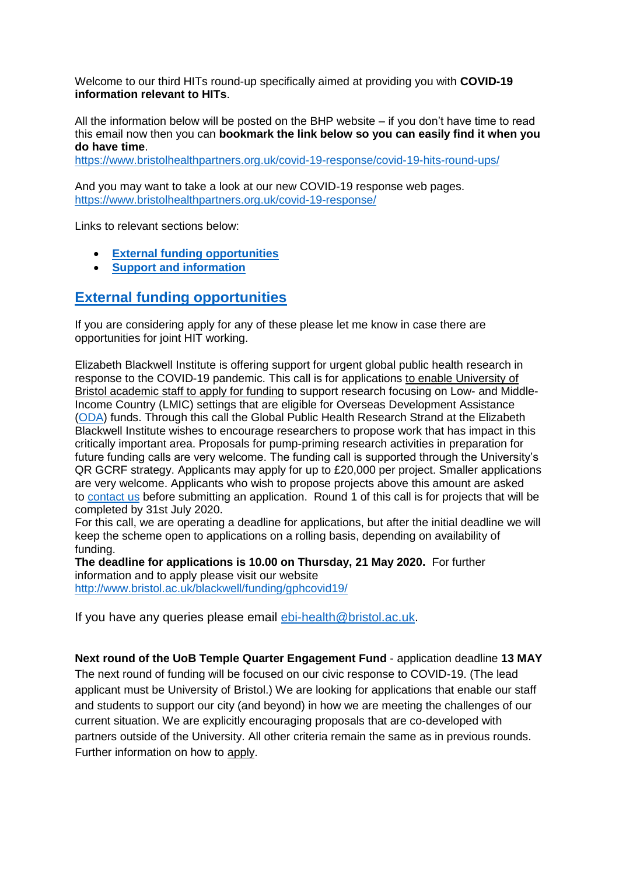Welcome to our third HITs round-up specifically aimed at providing you with **COVID-19 information relevant to HITs**.

All the information below will be posted on the BHP website – if you don't have time to read this email now then you can **bookmark the link below so you can easily find it when you do have time**.

<https://www.bristolhealthpartners.org.uk/covid-19-response/covid-19-hits-round-ups/>

And you may want to take a look at our new COVID-19 response web pages. <https://www.bristolhealthpartners.org.uk/covid-19-response/>

Links to relevant sections below:

- **[External funding opportunities](#page-0-0)**
- **[Support and information](#page-1-0)**

## <span id="page-0-0"></span>**[External funding opportunities](#page-0-0)**

If you are considering apply for any of these please let me know in case there are opportunities for joint HIT working.

Elizabeth Blackwell Institute is offering support for urgent global public health research in response to the COVID-19 pandemic. This call is for applications to enable University of Bristol academic staff to apply for funding to support research focusing on Low- and Middle-Income Country (LMIC) settings that are eligible for Overseas Development Assistance [\(ODA\)](https://www.gov.uk/government/collections/official-development-assistance-oda--2) funds. Through this call the Global Public Health Research Strand at the Elizabeth Blackwell Institute wishes to encourage researchers to propose work that has impact in this critically important area. Proposals for pump-priming research activities in preparation for future funding calls are very welcome. The funding call is supported through the University's QR GCRF strategy. Applicants may apply for up to £20,000 per project. Smaller applications are very welcome. Applicants who wish to propose projects above this amount are asked to [contact us](mailto:ebi-health@bristol.ac.uk) before submitting an application. Round 1 of this call is for projects that will be completed by 31st July 2020.

For this call, we are operating a deadline for applications, but after the initial deadline we will keep the scheme open to applications on a rolling basis, depending on availability of funding.

**The deadline for applications is 10.00 on Thursday, 21 May 2020.** For further information and to apply please visit our website <http://www.bristol.ac.uk/blackwell/funding/gphcovid19/>

If you have any queries please email [ebi-health@bristol.ac.uk.](file://///ads.bris.ac.uk/filestore/MISAPPUsers/RED/C&ID/Impact%20Acceleration%20Accounts/MRC%20CiC%20&%20P2D/CiC/2017-2018%20award/ebi-health@bristol.ac.uk)

**Next round of the UoB Temple Quarter Engagement Fund** - application deadline **13 MAY** The next round of funding will be focused on our civic response to COVID-19. (The lead applicant must be University of Bristol.) We are looking for applications that enable our staff and students to support our city (and beyond) in how we are meeting the challenges of our current situation. We are explicitly encouraging proposals that are co-developed with partners outside of the University. All other criteria remain the same as in previous rounds. Further information on how to [apply.](http://www.bristol.ac.uk/fees-funding/awards/temple-quarter-engagement-fund/)